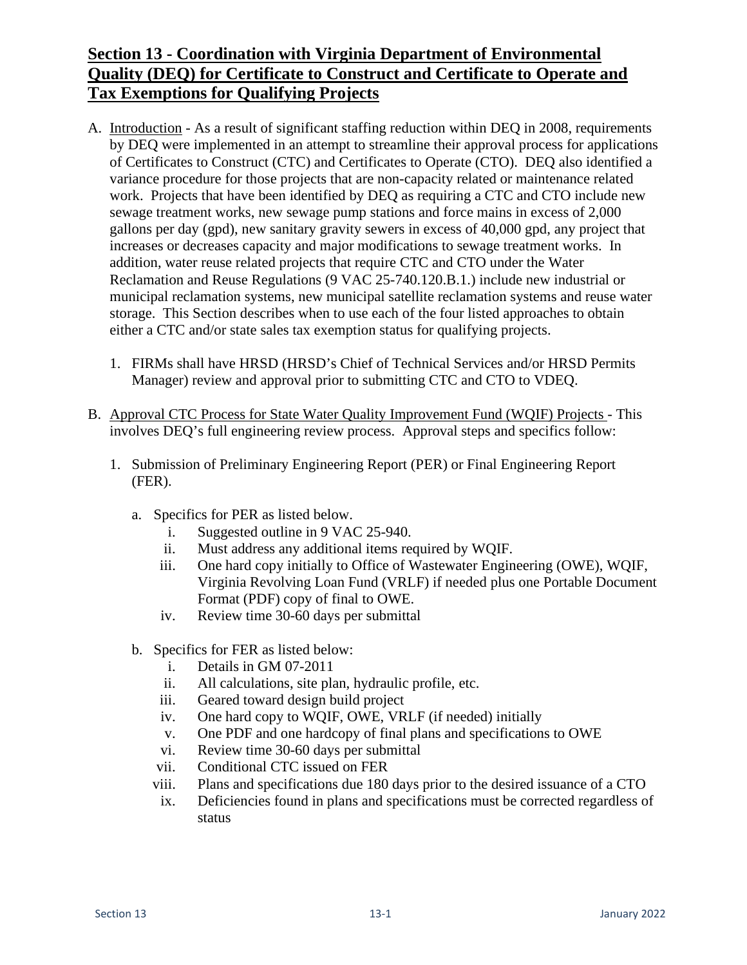# **Section 13 - Coordination with Virginia Department of Environmental Quality (DEQ) for Certificate to Construct and Certificate to Operate and Tax Exemptions for Qualifying Projects**

- A. Introduction As a result of significant staffing reduction within DEQ in 2008, requirements by DEQ were implemented in an attempt to streamline their approval process for applications of Certificates to Construct (CTC) and Certificates to Operate (CTO). DEQ also identified a variance procedure for those projects that are non-capacity related or maintenance related work. Projects that have been identified by DEQ as requiring a CTC and CTO include new sewage treatment works, new sewage pump stations and force mains in excess of 2,000 gallons per day (gpd), new sanitary gravity sewers in excess of 40,000 gpd, any project that increases or decreases capacity and major modifications to sewage treatment works. In addition, water reuse related projects that require CTC and CTO under the Water Reclamation and Reuse Regulations (9 VAC 25-740.120.B.1.) include new industrial or municipal reclamation systems, new municipal satellite reclamation systems and reuse water storage. This Section describes when to use each of the four listed approaches to obtain either a CTC and/or state sales tax exemption status for qualifying projects.
	- 1. FIRMs shall have HRSD (HRSD's Chief of Technical Services and/or HRSD Permits Manager) review and approval prior to submitting CTC and CTO to VDEQ.
- B. Approval CTC Process for State Water Quality Improvement Fund (WQIF) Projects This involves DEQ's full engineering review process. Approval steps and specifics follow:
	- 1. Submission of Preliminary Engineering Report (PER) or Final Engineering Report (FER).
		- a. Specifics for PER as listed below.
			- i. Suggested outline in 9 VAC 25-940.
			- ii. Must address any additional items required by WQIF.
			- iii. One hard copy initially to Office of Wastewater Engineering (OWE), WQIF, Virginia Revolving Loan Fund (VRLF) if needed plus one Portable Document Format (PDF) copy of final to OWE.
			- iv. Review time 30-60 days per submittal
		- b. Specifics for FER as listed below:
			- i. Details in GM 07-2011
			- ii. All calculations, site plan, hydraulic profile, etc.
			- iii. Geared toward design build project
			- iv. One hard copy to WQIF, OWE, VRLF (if needed) initially
			- v. One PDF and one hardcopy of final plans and specifications to OWE
			- vi. Review time 30-60 days per submittal
			- vii. Conditional CTC issued on FER
			- viii. Plans and specifications due 180 days prior to the desired issuance of a CTO
			- ix. Deficiencies found in plans and specifications must be corrected regardless of status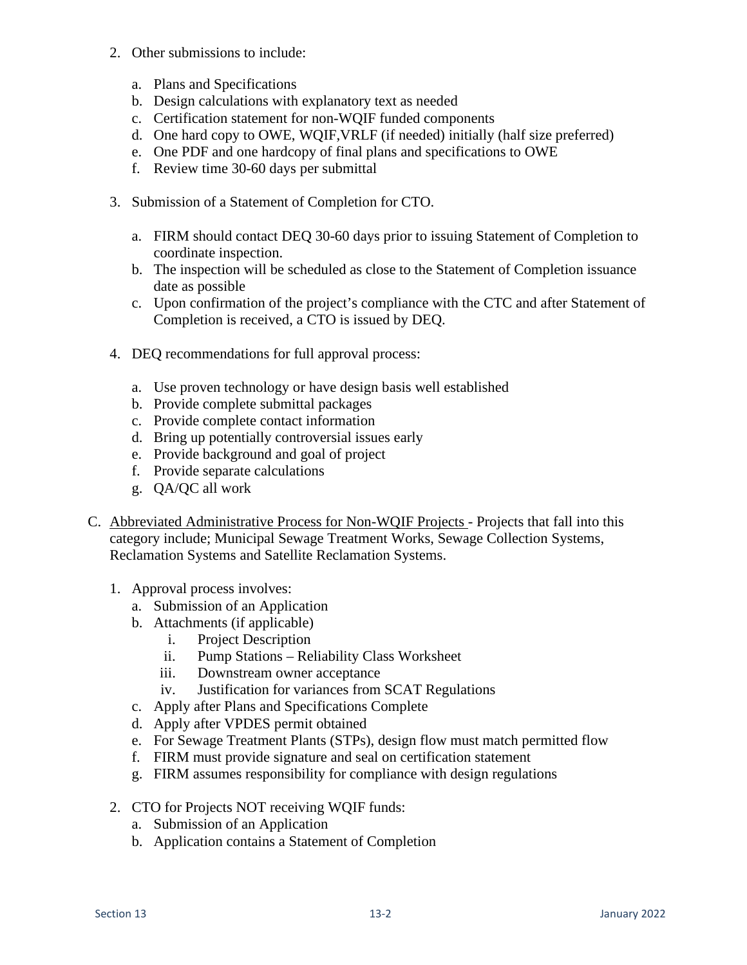- 2. Other submissions to include:
	- a. Plans and Specifications
	- b. Design calculations with explanatory text as needed
	- c. Certification statement for non-WQIF funded components
	- d. One hard copy to OWE, WQIF,VRLF (if needed) initially (half size preferred)
	- e. One PDF and one hardcopy of final plans and specifications to OWE
	- f. Review time 30-60 days per submittal
- 3. Submission of a Statement of Completion for CTO.
	- a. FIRM should contact DEQ 30-60 days prior to issuing Statement of Completion to coordinate inspection.
	- b. The inspection will be scheduled as close to the Statement of Completion issuance date as possible
	- c. Upon confirmation of the project's compliance with the CTC and after Statement of Completion is received, a CTO is issued by DEQ.
- 4. DEQ recommendations for full approval process:
	- a. Use proven technology or have design basis well established
	- b. Provide complete submittal packages
	- c. Provide complete contact information
	- d. Bring up potentially controversial issues early
	- e. Provide background and goal of project
	- f. Provide separate calculations
	- g. QA/QC all work
- C. Abbreviated Administrative Process for Non-WQIF Projects Projects that fall into this category include; Municipal Sewage Treatment Works, Sewage Collection Systems, Reclamation Systems and Satellite Reclamation Systems.
	- 1. Approval process involves:
		- a. Submission of an Application
		- b. Attachments (if applicable)
			- i. Project Description
			- ii. Pump Stations Reliability Class Worksheet
			- iii. Downstream owner acceptance
			- iv. Justification for variances from SCAT Regulations
		- c. Apply after Plans and Specifications Complete
		- d. Apply after VPDES permit obtained
		- e. For Sewage Treatment Plants (STPs), design flow must match permitted flow
		- f. FIRM must provide signature and seal on certification statement
		- g. FIRM assumes responsibility for compliance with design regulations
	- 2. CTO for Projects NOT receiving WQIF funds:
		- a. Submission of an Application
		- b. Application contains a Statement of Completion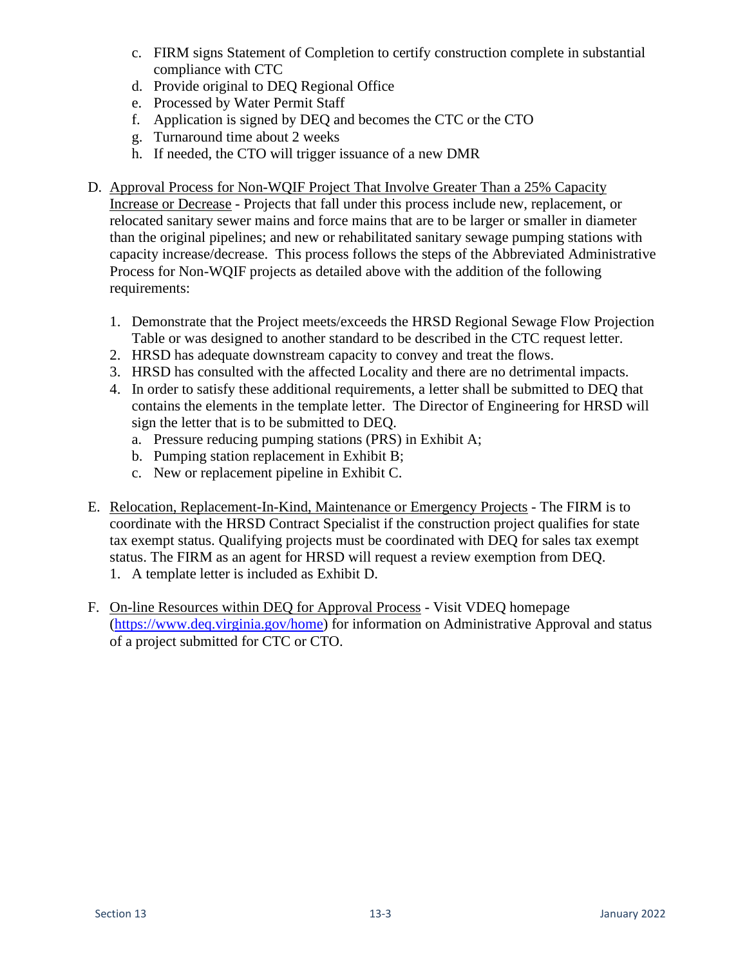- c. FIRM signs Statement of Completion to certify construction complete in substantial compliance with CTC
- d. Provide original to DEQ Regional Office
- e. Processed by Water Permit Staff
- f. Application is signed by DEQ and becomes the CTC or the CTO
- g. Turnaround time about 2 weeks
- h. If needed, the CTO will trigger issuance of a new DMR
- D. Approval Process for Non-WQIF Project That Involve Greater Than a 25% Capacity Increase or Decrease - Projects that fall under this process include new, replacement, or relocated sanitary sewer mains and force mains that are to be larger or smaller in diameter than the original pipelines; and new or rehabilitated sanitary sewage pumping stations with capacity increase/decrease. This process follows the steps of the Abbreviated Administrative Process for Non-WQIF projects as detailed above with the addition of the following requirements:
	- 1. Demonstrate that the Project meets/exceeds the HRSD Regional Sewage Flow Projection Table or was designed to another standard to be described in the CTC request letter.
	- 2. HRSD has adequate downstream capacity to convey and treat the flows.
	- 3. HRSD has consulted with the affected Locality and there are no detrimental impacts.
	- 4. In order to satisfy these additional requirements, a letter shall be submitted to DEQ that contains the elements in the template letter. The Director of Engineering for HRSD will sign the letter that is to be submitted to DEQ.
		- a. Pressure reducing pumping stations (PRS) in Exhibit A;
		- b. Pumping station replacement in Exhibit B;
		- c. New or replacement pipeline in Exhibit C.
- E. Relocation, Replacement-In-Kind, Maintenance or Emergency Projects The FIRM is to coordinate with the HRSD Contract Specialist if the construction project qualifies for state tax exempt status. Qualifying projects must be coordinated with DEQ for sales tax exempt status. The FIRM as an agent for HRSD will request a review exemption from DEQ. 1. A template letter is included as Exhibit D.
- F. On-line Resources within DEQ for Approval Process Visit VDEQ homepage [\(https://www.deq.virginia.gov/home\)](https://www.deq.virginia.gov/home) for information on Administrative Approval and status of a project submitted for CTC or CTO.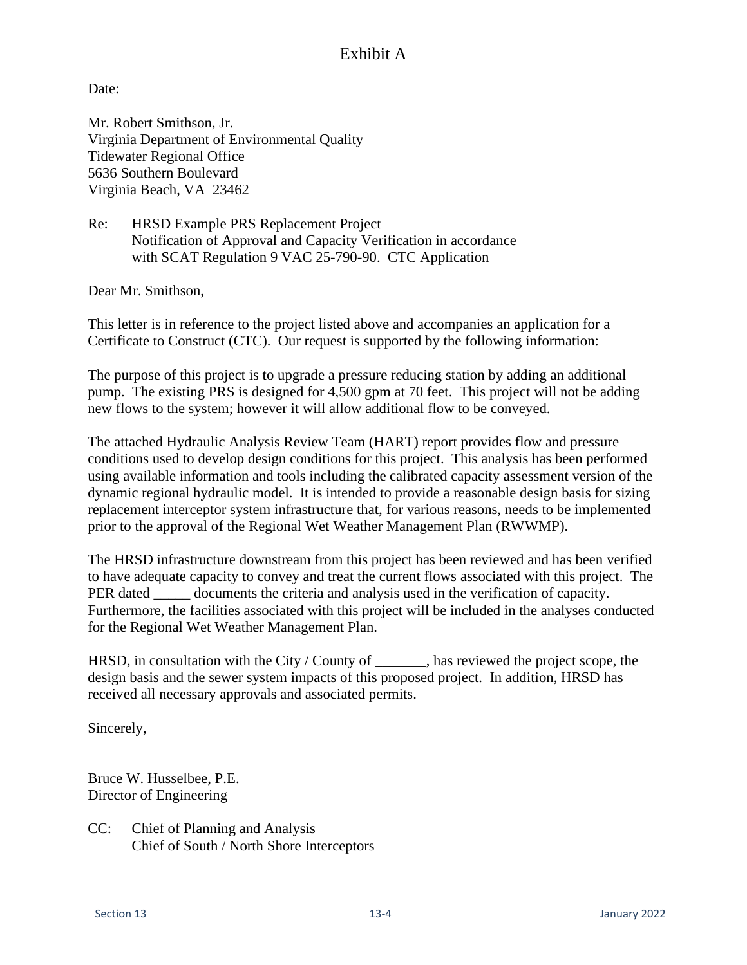#### Exhibit A

Date:

Mr. Robert Smithson, Jr. Virginia Department of Environmental Quality Tidewater Regional Office 5636 Southern Boulevard Virginia Beach, VA 23462

Re: HRSD Example PRS Replacement Project Notification of Approval and Capacity Verification in accordance with SCAT Regulation 9 VAC 25-790-90. CTC Application

Dear Mr. Smithson,

This letter is in reference to the project listed above and accompanies an application for a Certificate to Construct (CTC). Our request is supported by the following information:

The purpose of this project is to upgrade a pressure reducing station by adding an additional pump. The existing PRS is designed for 4,500 gpm at 70 feet. This project will not be adding new flows to the system; however it will allow additional flow to be conveyed.

The attached Hydraulic Analysis Review Team (HART) report provides flow and pressure conditions used to develop design conditions for this project. This analysis has been performed using available information and tools including the calibrated capacity assessment version of the dynamic regional hydraulic model. It is intended to provide a reasonable design basis for sizing replacement interceptor system infrastructure that, for various reasons, needs to be implemented prior to the approval of the Regional Wet Weather Management Plan (RWWMP).

The HRSD infrastructure downstream from this project has been reviewed and has been verified to have adequate capacity to convey and treat the current flows associated with this project. The PER dated \_\_\_\_\_\_\_ documents the criteria and analysis used in the verification of capacity. Furthermore, the facilities associated with this project will be included in the analyses conducted for the Regional Wet Weather Management Plan.

HRSD, in consultation with the City / County of \_\_\_\_\_\_\_, has reviewed the project scope, the design basis and the sewer system impacts of this proposed project. In addition, HRSD has received all necessary approvals and associated permits.

Sincerely,

Bruce W. Husselbee, P.E. Director of Engineering

CC: Chief of Planning and Analysis Chief of South / North Shore Interceptors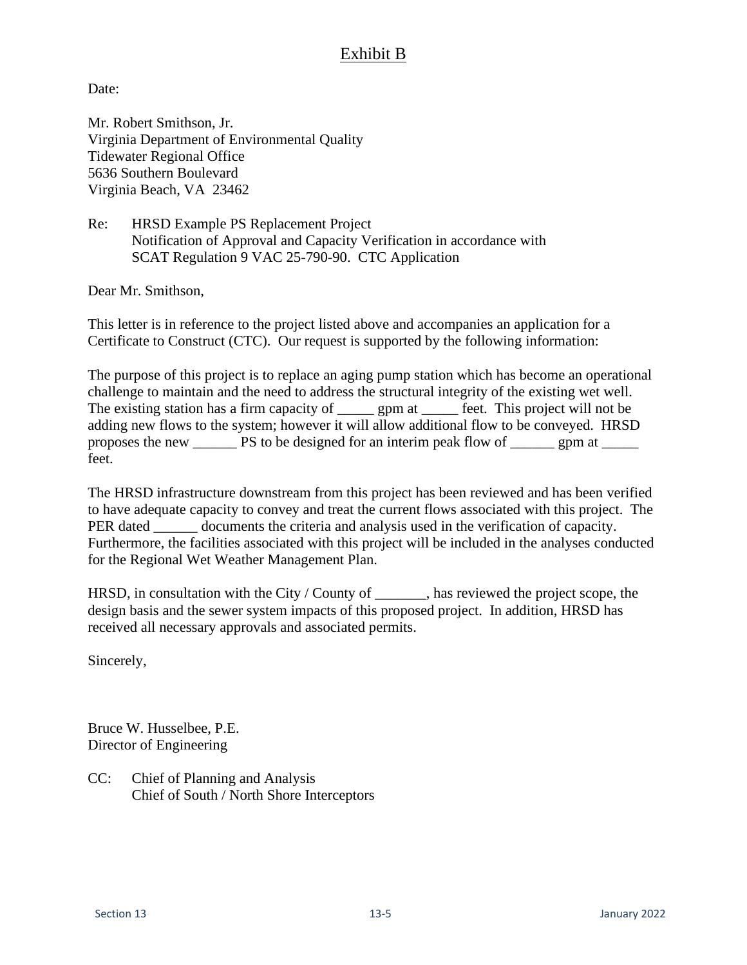#### Exhibit B

Date:

Mr. Robert Smithson, Jr. Virginia Department of Environmental Quality Tidewater Regional Office 5636 Southern Boulevard Virginia Beach, VA 23462

Re: HRSD Example PS Replacement Project Notification of Approval and Capacity Verification in accordance with SCAT Regulation 9 VAC 25-790-90. CTC Application

Dear Mr. Smithson,

This letter is in reference to the project listed above and accompanies an application for a Certificate to Construct (CTC). Our request is supported by the following information:

The purpose of this project is to replace an aging pump station which has become an operational challenge to maintain and the need to address the structural integrity of the existing wet well. The existing station has a firm capacity of <u>equal sum seperator</u> feet. This project will not be adding new flows to the system; however it will allow additional flow to be conveyed. HRSD proposes the new \_\_\_\_\_\_ PS to be designed for an interim peak flow of \_\_\_\_\_\_ gpm at \_\_\_\_\_ feet.

The HRSD infrastructure downstream from this project has been reviewed and has been verified to have adequate capacity to convey and treat the current flows associated with this project. The PER dated documents the criteria and analysis used in the verification of capacity. Furthermore, the facilities associated with this project will be included in the analyses conducted for the Regional Wet Weather Management Plan.

HRSD, in consultation with the City / County of \_\_\_\_\_\_, has reviewed the project scope, the design basis and the sewer system impacts of this proposed project. In addition, HRSD has received all necessary approvals and associated permits.

Sincerely,

Bruce W. Husselbee, P.E. Director of Engineering

CC: Chief of Planning and Analysis Chief of South / North Shore Interceptors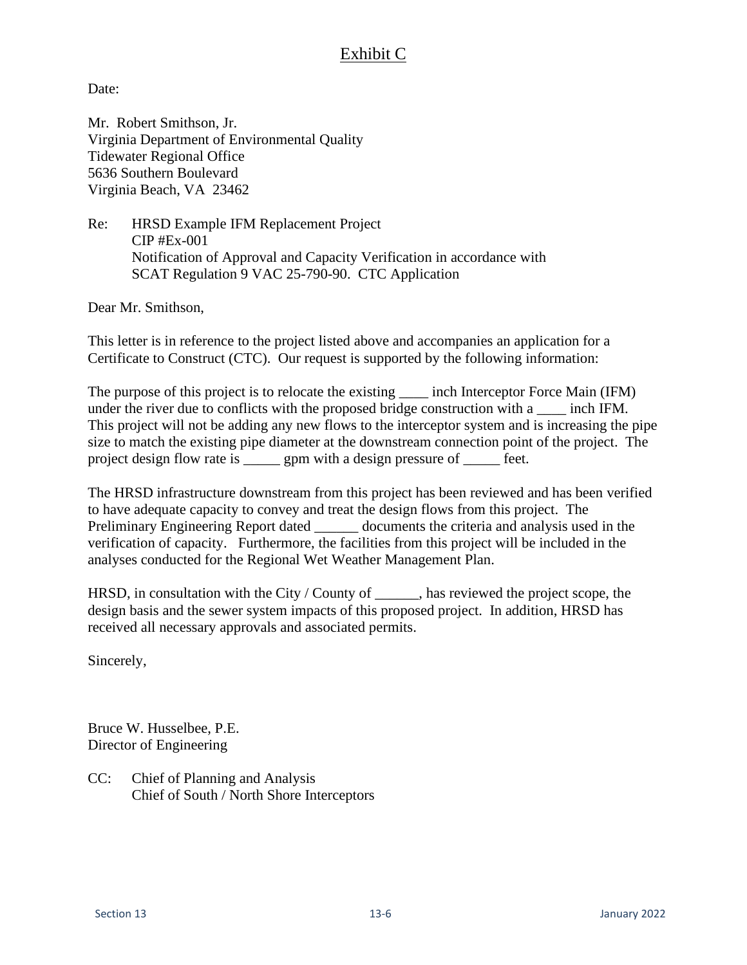## Exhibit C

Date:

Mr. Robert Smithson, Jr. Virginia Department of Environmental Quality Tidewater Regional Office 5636 Southern Boulevard Virginia Beach, VA 23462

Re: HRSD Example IFM Replacement Project CIP #Ex-001 Notification of Approval and Capacity Verification in accordance with SCAT Regulation 9 VAC 25-790-90. CTC Application

Dear Mr. Smithson,

This letter is in reference to the project listed above and accompanies an application for a Certificate to Construct (CTC). Our request is supported by the following information:

The purpose of this project is to relocate the existing \_\_\_\_\_ inch Interceptor Force Main (IFM) under the river due to conflicts with the proposed bridge construction with a \_\_\_\_\_ inch IFM. This project will not be adding any new flows to the interceptor system and is increasing the pipe size to match the existing pipe diameter at the downstream connection point of the project. The project design flow rate is \_\_\_\_\_ gpm with a design pressure of \_\_\_\_\_ feet.

The HRSD infrastructure downstream from this project has been reviewed and has been verified to have adequate capacity to convey and treat the design flows from this project. The Preliminary Engineering Report dated documents the criteria and analysis used in the verification of capacity. Furthermore, the facilities from this project will be included in the analyses conducted for the Regional Wet Weather Management Plan.

HRSD, in consultation with the City / County of \_\_\_\_\_\_, has reviewed the project scope, the design basis and the sewer system impacts of this proposed project. In addition, HRSD has received all necessary approvals and associated permits.

Sincerely,

Bruce W. Husselbee, P.E. Director of Engineering

CC: Chief of Planning and Analysis Chief of South / North Shore Interceptors